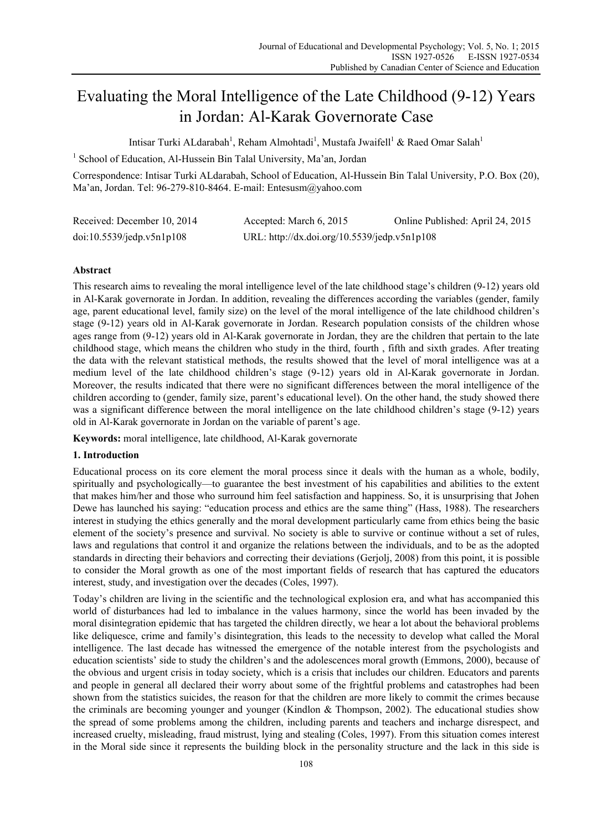# Evaluating the Moral Intelligence of the Late Childhood (9-12) Years in Jordan: Al-Karak Governorate Case

Intisar Turki ALdarabah<sup>1</sup>, Reham Almohtadi<sup>1</sup>, Mustafa Jwaifell<sup>1</sup> & Raed Omar Salah<sup>1</sup>

<sup>1</sup> School of Education, Al-Hussein Bin Talal University, Ma'an, Jordan

Correspondence: Intisar Turki ALdarabah, School of Education, Al-Hussein Bin Talal University, P.O. Box (20), Ma'an, Jordan. Tel: 96-279-810-8464. E-mail: Entesusm@yahoo.com

| Received: December 10, 2014 | Accepted: March 6, 2015                      | Online Published: April 24, 2015 |
|-----------------------------|----------------------------------------------|----------------------------------|
| doi:10.5539/jedp.v5n1p108   | URL: http://dx.doi.org/10.5539/jedp.v5n1p108 |                                  |

# **Abstract**

This research aims to revealing the moral intelligence level of the late childhood stage's children (9-12) years old in Al-Karak governorate in Jordan. In addition, revealing the differences according the variables (gender, family age, parent educational level, family size) on the level of the moral intelligence of the late childhood children's stage (9-12) years old in Al-Karak governorate in Jordan. Research population consists of the children whose ages range from (9-12) years old in Al-Karak governorate in Jordan, they are the children that pertain to the late childhood stage, which means the children who study in the third, fourth , fifth and sixth grades. After treating the data with the relevant statistical methods, the results showed that the level of moral intelligence was at a medium level of the late childhood children's stage (9-12) years old in Al-Karak governorate in Jordan. Moreover, the results indicated that there were no significant differences between the moral intelligence of the children according to (gender, family size, parent's educational level). On the other hand, the study showed there was a significant difference between the moral intelligence on the late childhood children's stage (9-12) years old in Al-Karak governorate in Jordan on the variable of parent's age.

**Keywords:** moral intelligence, late childhood, Al-Karak governorate

# **1. Introduction**

Educational process on its core element the moral process since it deals with the human as a whole, bodily, spiritually and psychologically—to guarantee the best investment of his capabilities and abilities to the extent that makes him/her and those who surround him feel satisfaction and happiness. So, it is unsurprising that Johen Dewe has launched his saying: "education process and ethics are the same thing" (Hass, 1988). The researchers interest in studying the ethics generally and the moral development particularly came from ethics being the basic element of the society's presence and survival. No society is able to survive or continue without a set of rules, laws and regulations that control it and organize the relations between the individuals, and to be as the adopted standards in directing their behaviors and correcting their deviations (Gerjolj, 2008) from this point, it is possible to consider the Moral growth as one of the most important fields of research that has captured the educators interest, study, and investigation over the decades (Coles, 1997).

Today's children are living in the scientific and the technological explosion era, and what has accompanied this world of disturbances had led to imbalance in the values harmony, since the world has been invaded by the moral disintegration epidemic that has targeted the children directly, we hear a lot about the behavioral problems like deliquesce, crime and family's disintegration, this leads to the necessity to develop what called the Moral intelligence. The last decade has witnessed the emergence of the notable interest from the psychologists and education scientists' side to study the children's and the adolescences moral growth (Emmons, 2000), because of the obvious and urgent crisis in today society, which is a crisis that includes our children. Educators and parents and people in general all declared their worry about some of the frightful problems and catastrophes had been shown from the statistics suicides, the reason for that the children are more likely to commit the crimes because the criminals are becoming younger and younger (Kindlon & Thompson, 2002). The educational studies show the spread of some problems among the children, including parents and teachers and incharge disrespect, and increased cruelty, misleading, fraud mistrust, lying and stealing (Coles, 1997). From this situation comes interest in the Moral side since it represents the building block in the personality structure and the lack in this side is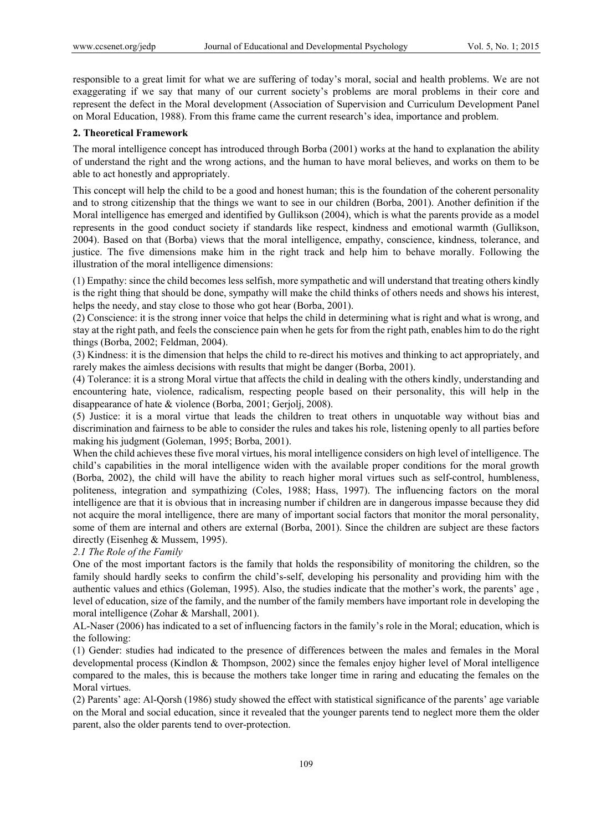responsible to a great limit for what we are suffering of today's moral, social and health problems. We are not exaggerating if we say that many of our current society's problems are moral problems in their core and represent the defect in the Moral development (Association of Supervision and Curriculum Development Panel on Moral Education, 1988). From this frame came the current research's idea, importance and problem.

#### **2. Theoretical Framework**

The moral intelligence concept has introduced through Borba (2001) works at the hand to explanation the ability of understand the right and the wrong actions, and the human to have moral believes, and works on them to be able to act honestly and appropriately.

This concept will help the child to be a good and honest human; this is the foundation of the coherent personality and to strong citizenship that the things we want to see in our children (Borba, 2001). Another definition if the Moral intelligence has emerged and identified by Gullikson (2004), which is what the parents provide as a model represents in the good conduct society if standards like respect, kindness and emotional warmth (Gullikson, 2004). Based on that (Borba) views that the moral intelligence, empathy, conscience, kindness, tolerance, and justice. The five dimensions make him in the right track and help him to behave morally. Following the illustration of the moral intelligence dimensions:

(1) Empathy: since the child becomes less selfish, more sympathetic and will understand that treating others kindly is the right thing that should be done, sympathy will make the child thinks of others needs and shows his interest, helps the needy, and stay close to those who got hear (Borba, 2001).

(2) Conscience: it is the strong inner voice that helps the child in determining what is right and what is wrong, and stay at the right path, and feels the conscience pain when he gets for from the right path, enables him to do the right things (Borba, 2002; Feldman, 2004).

(3) Kindness: it is the dimension that helps the child to re-direct his motives and thinking to act appropriately, and rarely makes the aimless decisions with results that might be danger (Borba, 2001).

(4) Tolerance: it is a strong Moral virtue that affects the child in dealing with the others kindly, understanding and encountering hate, violence, radicalism, respecting people based on their personality, this will help in the disappearance of hate & violence (Borba, 2001; Gerjolj, 2008).

(5) Justice: it is a moral virtue that leads the children to treat others in unquotable way without bias and discrimination and fairness to be able to consider the rules and takes his role, listening openly to all parties before making his judgment (Goleman, 1995; Borba, 2001).

When the child achieves these five moral virtues, his moral intelligence considers on high level of intelligence. The child's capabilities in the moral intelligence widen with the available proper conditions for the moral growth (Borba, 2002), the child will have the ability to reach higher moral virtues such as self-control, humbleness, politeness, integration and sympathizing (Coles, 1988; Hass, 1997). The influencing factors on the moral intelligence are that it is obvious that in increasing number if children are in dangerous impasse because they did not acquire the moral intelligence, there are many of important social factors that monitor the moral personality, some of them are internal and others are external (Borba, 2001). Since the children are subject are these factors directly (Eisenheg & Mussem, 1995).

## *2.1 The Role of the Family*

One of the most important factors is the family that holds the responsibility of monitoring the children, so the family should hardly seeks to confirm the child's-self, developing his personality and providing him with the authentic values and ethics (Goleman, 1995). Also, the studies indicate that the mother's work, the parents' age , level of education, size of the family, and the number of the family members have important role in developing the moral intelligence (Zohar & Marshall, 2001).

AL-Naser (2006) has indicated to a set of influencing factors in the family's role in the Moral; education, which is the following:

(1) Gender: studies had indicated to the presence of differences between the males and females in the Moral developmental process (Kindlon & Thompson, 2002) since the females enjoy higher level of Moral intelligence compared to the males, this is because the mothers take longer time in raring and educating the females on the Moral virtues.

(2) Parents' age: Al-Qorsh (1986) study showed the effect with statistical significance of the parents' age variable on the Moral and social education, since it revealed that the younger parents tend to neglect more them the older parent, also the older parents tend to over-protection.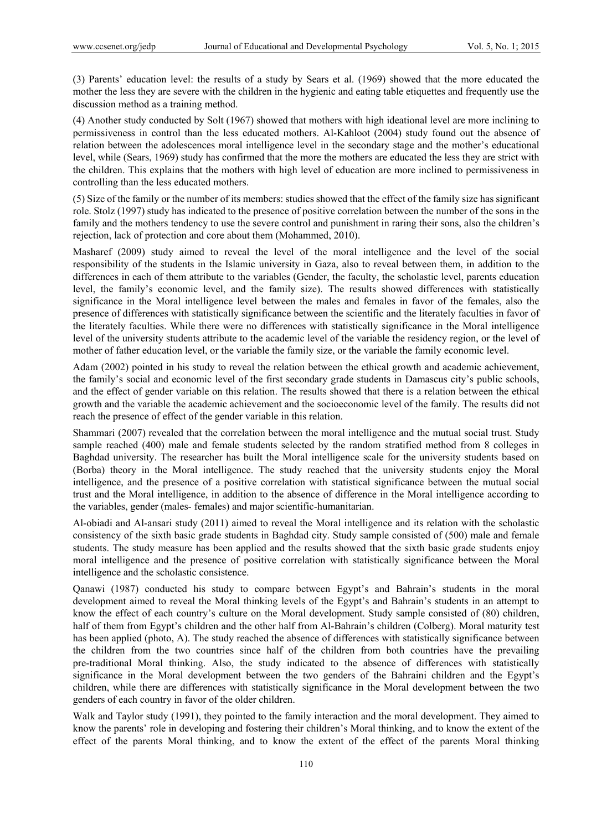(3) Parents' education level: the results of a study by Sears et al. (1969) showed that the more educated the mother the less they are severe with the children in the hygienic and eating table etiquettes and frequently use the discussion method as a training method.

(4) Another study conducted by Solt (1967) showed that mothers with high ideational level are more inclining to permissiveness in control than the less educated mothers. Al-Kahloot (2004) study found out the absence of relation between the adolescences moral intelligence level in the secondary stage and the mother's educational level, while (Sears, 1969) study has confirmed that the more the mothers are educated the less they are strict with the children. This explains that the mothers with high level of education are more inclined to permissiveness in controlling than the less educated mothers.

(5) Size of the family or the number of its members: studies showed that the effect of the family size has significant role. Stolz (1997) study has indicated to the presence of positive correlation between the number of the sons in the family and the mothers tendency to use the severe control and punishment in raring their sons, also the children's rejection, lack of protection and core about them (Mohammed, 2010).

Masharef (2009) study aimed to reveal the level of the moral intelligence and the level of the social responsibility of the students in the Islamic university in Gaza, also to reveal between them, in addition to the differences in each of them attribute to the variables (Gender, the faculty, the scholastic level, parents education level, the family's economic level, and the family size). The results showed differences with statistically significance in the Moral intelligence level between the males and females in favor of the females, also the presence of differences with statistically significance between the scientific and the literately faculties in favor of the literately faculties. While there were no differences with statistically significance in the Moral intelligence level of the university students attribute to the academic level of the variable the residency region, or the level of mother of father education level, or the variable the family size, or the variable the family economic level.

Adam (2002) pointed in his study to reveal the relation between the ethical growth and academic achievement, the family's social and economic level of the first secondary grade students in Damascus city's public schools, and the effect of gender variable on this relation. The results showed that there is a relation between the ethical growth and the variable the academic achievement and the socioeconomic level of the family. The results did not reach the presence of effect of the gender variable in this relation.

Shammari (2007) revealed that the correlation between the moral intelligence and the mutual social trust. Study sample reached (400) male and female students selected by the random stratified method from 8 colleges in Baghdad university. The researcher has built the Moral intelligence scale for the university students based on (Borba) theory in the Moral intelligence. The study reached that the university students enjoy the Moral intelligence, and the presence of a positive correlation with statistical significance between the mutual social trust and the Moral intelligence, in addition to the absence of difference in the Moral intelligence according to the variables, gender (males- females) and major scientific-humanitarian.

Al-obiadi and Al-ansari study (2011) aimed to reveal the Moral intelligence and its relation with the scholastic consistency of the sixth basic grade students in Baghdad city. Study sample consisted of (500) male and female students. The study measure has been applied and the results showed that the sixth basic grade students enjoy moral intelligence and the presence of positive correlation with statistically significance between the Moral intelligence and the scholastic consistence.

Qanawi (1987) conducted his study to compare between Egypt's and Bahrain's students in the moral development aimed to reveal the Moral thinking levels of the Egypt's and Bahrain's students in an attempt to know the effect of each country's culture on the Moral development. Study sample consisted of (80) children, half of them from Egypt's children and the other half from Al-Bahrain's children (Colberg). Moral maturity test has been applied (photo, A). The study reached the absence of differences with statistically significance between the children from the two countries since half of the children from both countries have the prevailing pre-traditional Moral thinking. Also, the study indicated to the absence of differences with statistically significance in the Moral development between the two genders of the Bahraini children and the Egypt's children, while there are differences with statistically significance in the Moral development between the two genders of each country in favor of the older children.

Walk and Taylor study (1991), they pointed to the family interaction and the moral development. They aimed to know the parents' role in developing and fostering their children's Moral thinking, and to know the extent of the effect of the parents Moral thinking, and to know the extent of the effect of the parents Moral thinking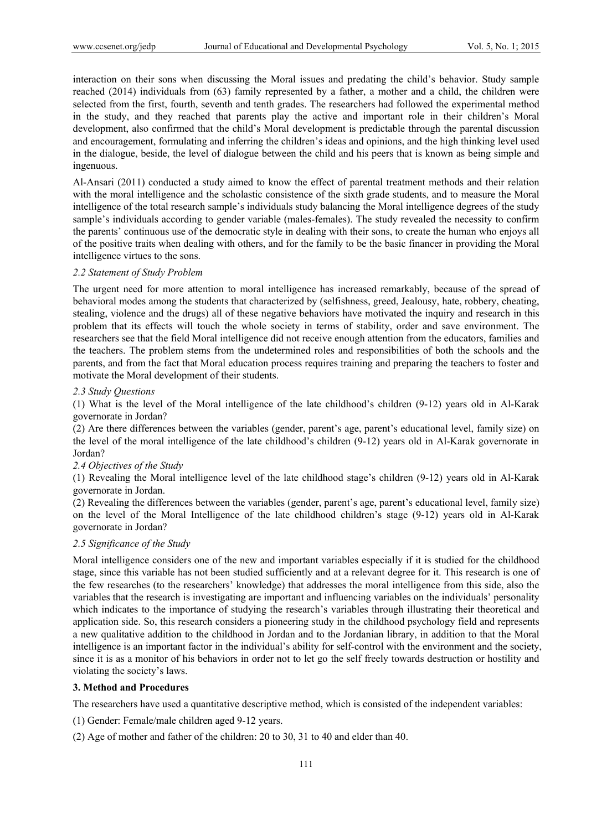interaction on their sons when discussing the Moral issues and predating the child's behavior. Study sample reached (2014) individuals from (63) family represented by a father, a mother and a child, the children were selected from the first, fourth, seventh and tenth grades. The researchers had followed the experimental method in the study, and they reached that parents play the active and important role in their children's Moral development, also confirmed that the child's Moral development is predictable through the parental discussion and encouragement, formulating and inferring the children's ideas and opinions, and the high thinking level used in the dialogue, beside, the level of dialogue between the child and his peers that is known as being simple and ingenuous.

Al-Ansari (2011) conducted a study aimed to know the effect of parental treatment methods and their relation with the moral intelligence and the scholastic consistence of the sixth grade students, and to measure the Moral intelligence of the total research sample's individuals study balancing the Moral intelligence degrees of the study sample's individuals according to gender variable (males-females). The study revealed the necessity to confirm the parents' continuous use of the democratic style in dealing with their sons, to create the human who enjoys all of the positive traits when dealing with others, and for the family to be the basic financer in providing the Moral intelligence virtues to the sons.

#### *2.2 Statement of Study Problem*

The urgent need for more attention to moral intelligence has increased remarkably, because of the spread of behavioral modes among the students that characterized by (selfishness, greed, Jealousy, hate, robbery, cheating, stealing, violence and the drugs) all of these negative behaviors have motivated the inquiry and research in this problem that its effects will touch the whole society in terms of stability, order and save environment. The researchers see that the field Moral intelligence did not receive enough attention from the educators, families and the teachers. The problem stems from the undetermined roles and responsibilities of both the schools and the parents, and from the fact that Moral education process requires training and preparing the teachers to foster and motivate the Moral development of their students.

#### *2.3 Study Questions*

(1) What is the level of the Moral intelligence of the late childhood's children (9-12) years old in Al-Karak governorate in Jordan?

(2) Are there differences between the variables (gender, parent's age, parent's educational level, family size) on the level of the moral intelligence of the late childhood's children (9-12) years old in Al-Karak governorate in Jordan?

#### *2.4 Objectives of the Study*

(1) Revealing the Moral intelligence level of the late childhood stage's children (9-12) years old in Al-Karak governorate in Jordan.

(2) Revealing the differences between the variables (gender, parent's age, parent's educational level, family size) on the level of the Moral Intelligence of the late childhood children's stage (9-12) years old in Al-Karak governorate in Jordan?

## *2.5 Significance of the Study*

Moral intelligence considers one of the new and important variables especially if it is studied for the childhood stage, since this variable has not been studied sufficiently and at a relevant degree for it. This research is one of the few researches (to the researchers' knowledge) that addresses the moral intelligence from this side, also the variables that the research is investigating are important and influencing variables on the individuals' personality which indicates to the importance of studying the research's variables through illustrating their theoretical and application side. So, this research considers a pioneering study in the childhood psychology field and represents a new qualitative addition to the childhood in Jordan and to the Jordanian library, in addition to that the Moral intelligence is an important factor in the individual's ability for self-control with the environment and the society, since it is as a monitor of his behaviors in order not to let go the self freely towards destruction or hostility and violating the society's laws.

## **3. Method and Procedures**

The researchers have used a quantitative descriptive method, which is consisted of the independent variables:

(1) Gender: Female/male children aged 9-12 years.

(2) Age of mother and father of the children: 20 to 30, 31 to 40 and elder than 40.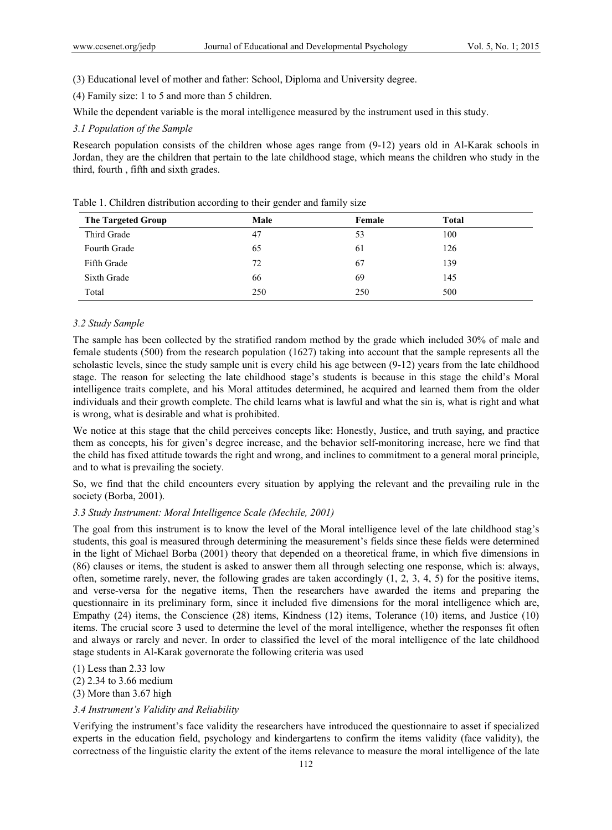- (3) Educational level of mother and father: School, Diploma and University degree.
- (4) Family size: 1 to 5 and more than 5 children.

While the dependent variable is the moral intelligence measured by the instrument used in this study.

## *3.1 Population of the Sample*

Research population consists of the children whose ages range from (9-12) years old in Al-Karak schools in Jordan, they are the children that pertain to the late childhood stage, which means the children who study in the third, fourth , fifth and sixth grades.

| <b>The Targeted Group</b> | Male | Female | <b>Total</b> |  |
|---------------------------|------|--------|--------------|--|
| Third Grade               | 47   | 53     | 100          |  |
| Fourth Grade              | 65   | 61     | 126          |  |
| Fifth Grade               | 72   | 67     | 139          |  |
| Sixth Grade               | 66   | 69     | 145          |  |
| Total                     | 250  | 250    | 500          |  |

Table 1. Children distribution according to their gender and family size

#### *3.2 Study Sample*

The sample has been collected by the stratified random method by the grade which included 30% of male and female students (500) from the research population (1627) taking into account that the sample represents all the scholastic levels, since the study sample unit is every child his age between (9-12) years from the late childhood stage. The reason for selecting the late childhood stage's students is because in this stage the child's Moral intelligence traits complete, and his Moral attitudes determined, he acquired and learned them from the older individuals and their growth complete. The child learns what is lawful and what the sin is, what is right and what is wrong, what is desirable and what is prohibited.

We notice at this stage that the child perceives concepts like: Honestly, Justice, and truth saying, and practice them as concepts, his for given's degree increase, and the behavior self-monitoring increase, here we find that the child has fixed attitude towards the right and wrong, and inclines to commitment to a general moral principle, and to what is prevailing the society.

So, we find that the child encounters every situation by applying the relevant and the prevailing rule in the society (Borba, 2001).

#### *3.3 Study Instrument: Moral Intelligence Scale (Mechile, 2001)*

The goal from this instrument is to know the level of the Moral intelligence level of the late childhood stag's students, this goal is measured through determining the measurement's fields since these fields were determined in the light of Michael Borba (2001) theory that depended on a theoretical frame, in which five dimensions in (86) clauses or items, the student is asked to answer them all through selecting one response, which is: always, often, sometime rarely, never, the following grades are taken accordingly (1, 2, 3, 4, 5) for the positive items, and verse-versa for the negative items, Then the researchers have awarded the items and preparing the questionnaire in its preliminary form, since it included five dimensions for the moral intelligence which are, Empathy (24) items, the Conscience (28) items, Kindness (12) items, Tolerance (10) items, and Justice (10) items. The crucial score 3 used to determine the level of the moral intelligence, whether the responses fit often and always or rarely and never. In order to classified the level of the moral intelligence of the late childhood stage students in Al-Karak governorate the following criteria was used

(1) Less than 2.33 low (2) 2.34 to 3.66 medium (3) More than 3.67 high

#### *3.4 Instrument's Validity and Reliability*

Verifying the instrument's face validity the researchers have introduced the questionnaire to asset if specialized experts in the education field, psychology and kindergartens to confirm the items validity (face validity), the correctness of the linguistic clarity the extent of the items relevance to measure the moral intelligence of the late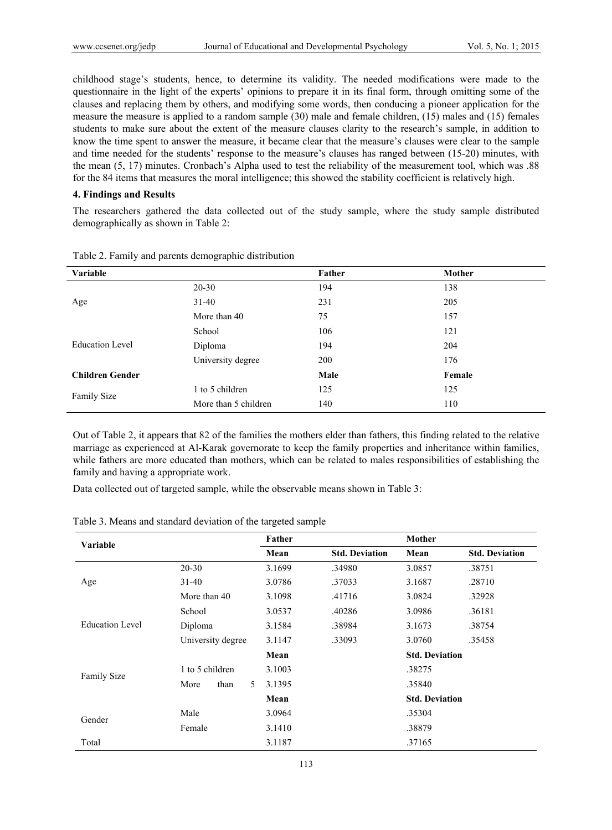childhood stage's students, hence, to determine its validity. The needed modifications were made to the questionnaire in the light of the experts' opinions to prepare it in its final form, through omitting some of the clauses and replacing them by others, and modifying some words, then conducing a pioneer application for the measure the measure is applied to a random sample (30) male and female children, (15) males and (15) females students to make sure about the extent of the measure clauses clarity to the research's sample, in addition to know the time spent to answer the measure, it became clear that the measure's clauses were clear to the sample and time needed for the students' response to the measure's clauses has ranged between (15-20) minutes, with the mean (5, 17) minutes. Cronbach's Alpha used to test the reliability of the measurement tool, which was .88 for the 84 items that measures the moral intelligence; this showed the stability coefficient is relatively high.

#### **4. Findings and Results**

The researchers gathered the data collected out of the study sample, where the study sample distributed demographically as shown in Table 2:

| Variable               |                                                                                                         | Father     | Mother |
|------------------------|---------------------------------------------------------------------------------------------------------|------------|--------|
|                        | $20 - 30$                                                                                               | 194        | 138    |
| Age                    | $31 - 40$                                                                                               | 231        | 205    |
|                        | 75<br>More than 40<br>School<br>Diploma<br>University degree<br>1 to 5 children<br>More than 5 children |            | 157    |
|                        |                                                                                                         | 106        | 121    |
| <b>Education Level</b> |                                                                                                         | 194        | 204    |
|                        |                                                                                                         | <b>200</b> | 176    |
| <b>Children Gender</b> |                                                                                                         | Male       | Female |
| <b>Family Size</b>     |                                                                                                         | 125        | 125    |
|                        |                                                                                                         | 140        | 110    |

Table 2. Family and parents demographic distribution

Out of Table 2, it appears that 82 of the families the mothers elder than fathers, this finding related to the relative marriage as experienced at Al-Karak governorate to keep the family properties and inheritance within families, while fathers are more educated than mothers, which can be related to males responsibilities of establishing the family and having a appropriate work.

Data collected out of targeted sample, while the observable means shown in Table 3:

| Variable           |                   | Father |                       | Mother                |                       |
|--------------------|-------------------|--------|-----------------------|-----------------------|-----------------------|
|                    |                   | Mean   | <b>Std. Deviation</b> | Mean                  | <b>Std. Deviation</b> |
|                    | $20 - 30$         | 3.1699 | .34980                | 3.0857                | .38751                |
| Age                | $31 - 40$         | 3.0786 | .37033                | 3.1687                | .28710                |
|                    | More than 40      | 3.1098 | .41716                | 3.0824                | .32928                |
| Education Level    | School            | 3.0537 | .40286                | 3.0986                | .36181                |
|                    | Diploma           | 3.1584 | .38984                | 3.1673                | .38754                |
|                    | University degree | 3.1147 | .33093                | 3.0760                | .35458                |
|                    |                   | Mean   |                       | <b>Std. Deviation</b> |                       |
|                    | 1 to 5 children   | 3.1003 |                       | .38275                |                       |
| <b>Family Size</b> | than<br>More<br>5 | 3.1395 |                       | .35840                |                       |
|                    |                   | Mean   |                       | <b>Std. Deviation</b> |                       |
| Gender             | Male              | 3.0964 |                       | .35304                |                       |
|                    | Female            | 3.1410 |                       | .38879                |                       |
| Total              |                   | 3.1187 |                       | .37165                |                       |

Table 3. Means and standard deviation of the targeted sample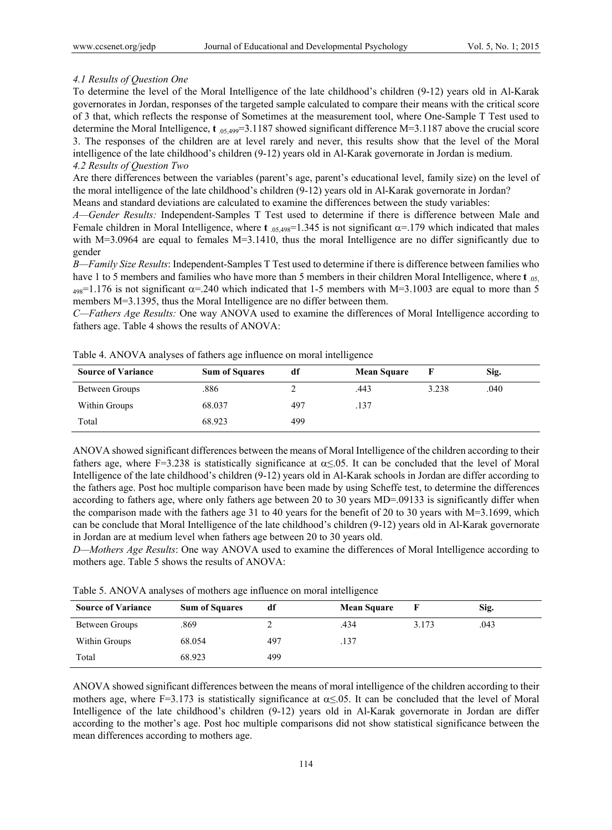#### *4.1 Results of Question One*

To determine the level of the Moral Intelligence of the late childhood's children (9-12) years old in Al-Karak governorates in Jordan, responses of the targeted sample calculated to compare their means with the critical score of 3 that, which reflects the response of Sometimes at the measurement tool, where One-Sample T Test used to determine the Moral Intelligence, **t** .05,499=3.1187 showed significant difference M=3.1187 above the crucial score 3. The responses of the children are at level rarely and never, this results show that the level of the Moral intelligence of the late childhood's children (9-12) years old in Al-Karak governorate in Jordan is medium. *4.2 Results of Question Two*

Are there differences between the variables (parent's age, parent's educational level, family size) on the level of the moral intelligence of the late childhood's children (9-12) years old in Al-Karak governorate in Jordan? Means and standard deviations are calculated to examine the differences between the study variables:

*A—Gender Results:* Independent-Samples T Test used to determine if there is difference between Male and Female children in Moral Intelligence, where **t**  $_{.05,498}$ =1.345 is not significant  $\alpha$ =.179 which indicated that males with M=3.0964 are equal to females M=3.1410, thus the moral Intelligence are no differ significantly due to gender

*B—Family Size Results*: Independent-Samples T Test used to determine if there is difference between families who have 1 to 5 members and families who have more than 5 members in their children Moral Intelligence, where **t**  $_{.05}$ ,  $_{498}$ =1.176 is not significant  $\alpha$ =.240 which indicated that 1-5 members with M=3.1003 are equal to more than 5 members M=3.1395, thus the Moral Intelligence are no differ between them.

*C—Fathers Age Results:* One way ANOVA used to examine the differences of Moral Intelligence according to fathers age. Table 4 shows the results of ANOVA:

| <b>Source of Variance</b> | <b>Sum of Squares</b> | df  | <b>Mean Square</b> |       | Sig. |
|---------------------------|-----------------------|-----|--------------------|-------|------|
| Between Groups            | .886                  |     | .443               | 3.238 | .040 |
| Within Groups             | 68.037                | 497 | .137               |       |      |
| Total                     | 68.923                | 499 |                    |       |      |

Table 4. ANOVA analyses of fathers age influence on moral intelligence

ANOVA showed significant differences between the means of Moral Intelligence of the children according to their fathers age, where F=3.238 is statistically significance at  $\alpha \le 0.05$ . It can be concluded that the level of Moral Intelligence of the late childhood's children (9-12) years old in Al-Karak schools in Jordan are differ according to the fathers age. Post hoc multiple comparison have been made by using Scheffe test, to determine the differences according to fathers age, where only fathers age between 20 to 30 years MD=.09133 is significantly differ when the comparison made with the fathers age 31 to 40 years for the benefit of 20 to 30 years with M=3.1699, which can be conclude that Moral Intelligence of the late childhood's children (9-12) years old in Al-Karak governorate in Jordan are at medium level when fathers age between 20 to 30 years old.

*D—Mothers Age Results*: One way ANOVA used to examine the differences of Moral Intelligence according to mothers age. Table 5 shows the results of ANOVA:

|  | Table 5. ANOVA analyses of mothers age influence on moral intelligence |
|--|------------------------------------------------------------------------|
|  |                                                                        |

| <b>Source of Variance</b> | <b>Sum of Squares</b> | df  | <b>Mean Square</b> |       | Sig. |
|---------------------------|-----------------------|-----|--------------------|-------|------|
| Between Groups            | .869                  |     | .434               | 3.173 | .043 |
| Within Groups             | 68.054                | 497 | .137               |       |      |
| Total                     | 68.923                | 499 |                    |       |      |

ANOVA showed significant differences between the means of moral intelligence of the children according to their mothers age, where F=3.173 is statistically significance at  $\alpha \le 0.05$ . It can be concluded that the level of Moral Intelligence of the late childhood's children (9-12) years old in Al-Karak governorate in Jordan are differ according to the mother's age. Post hoc multiple comparisons did not show statistical significance between the mean differences according to mothers age.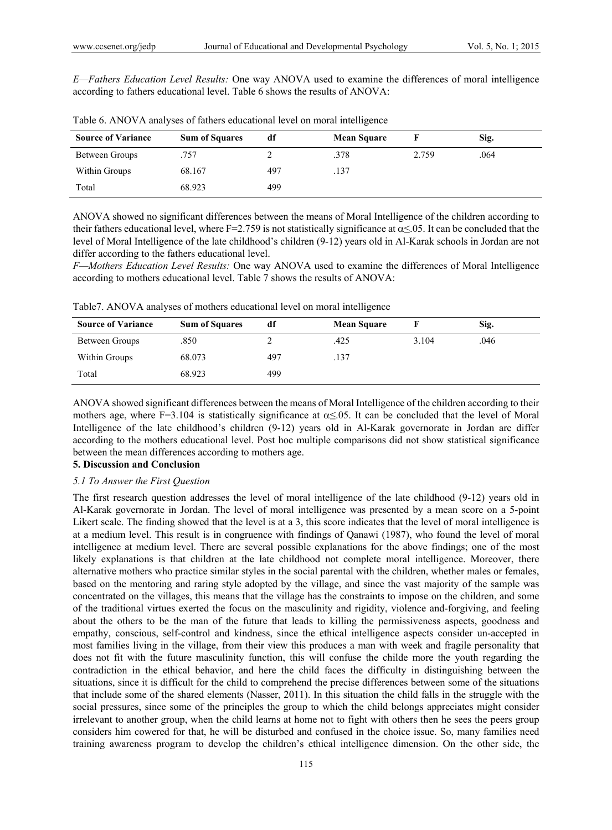*E—Fathers Education Level Results:* One way ANOVA used to examine the differences of moral intelligence according to fathers educational level. Table 6 shows the results of ANOVA:

| <b>Source of Variance</b> | <b>Sum of Squares</b> | df  | <b>Mean Square</b> |       | Sig. |
|---------------------------|-----------------------|-----|--------------------|-------|------|
| Between Groups            | .757                  |     | .378               | 2.759 | .064 |
| Within Groups             | 68.167                | 497 | .137               |       |      |
| Total                     | 68.923                | 499 |                    |       |      |

Table 6. ANOVA analyses of fathers educational level on moral intelligence

ANOVA showed no significant differences between the means of Moral Intelligence of the children according to their fathers educational level, where F=2.759 is not statistically significance at  $\alpha \le 0.05$ . It can be concluded that the level of Moral Intelligence of the late childhood's children (9-12) years old in Al-Karak schools in Jordan are not differ according to the fathers educational level.

*F—Mothers Education Level Results:* One way ANOVA used to examine the differences of Moral Intelligence according to mothers educational level. Table 7 shows the results of ANOVA:

Table7. ANOVA analyses of mothers educational level on moral intelligence

| <b>Source of Variance</b> | <b>Sum of Squares</b> | df  | <b>Mean Square</b> |       | Sig. |  |
|---------------------------|-----------------------|-----|--------------------|-------|------|--|
| Between Groups            | .850                  |     | .425               | 3.104 | .046 |  |
| Within Groups             | 68.073                | 497 | .137               |       |      |  |
| Total                     | 68.923                | 499 |                    |       |      |  |

ANOVA showed significant differences between the means of Moral Intelligence of the children according to their mothers age, where F=3.104 is statistically significance at  $\alpha \le 0.05$ . It can be concluded that the level of Moral Intelligence of the late childhood's children (9-12) years old in Al-Karak governorate in Jordan are differ according to the mothers educational level. Post hoc multiple comparisons did not show statistical significance between the mean differences according to mothers age.

## **5. Discussion and Conclusion**

## *5.1 To Answer the First Question*

The first research question addresses the level of moral intelligence of the late childhood (9-12) years old in Al-Karak governorate in Jordan. The level of moral intelligence was presented by a mean score on a 5-point Likert scale. The finding showed that the level is at a 3, this score indicates that the level of moral intelligence is at a medium level. This result is in congruence with findings of Qanawi (1987), who found the level of moral intelligence at medium level. There are several possible explanations for the above findings; one of the most likely explanations is that children at the late childhood not complete moral intelligence. Moreover, there alternative mothers who practice similar styles in the social parental with the children, whether males or females, based on the mentoring and raring style adopted by the village, and since the vast majority of the sample was concentrated on the villages, this means that the village has the constraints to impose on the children, and some of the traditional virtues exerted the focus on the masculinity and rigidity, violence and-forgiving, and feeling about the others to be the man of the future that leads to killing the permissiveness aspects, goodness and empathy, conscious, self-control and kindness, since the ethical intelligence aspects consider un-accepted in most families living in the village, from their view this produces a man with week and fragile personality that does not fit with the future masculinity function, this will confuse the childe more the youth regarding the contradiction in the ethical behavior, and here the child faces the difficulty in distinguishing between the situations, since it is difficult for the child to comprehend the precise differences between some of the situations that include some of the shared elements (Nasser, 2011). In this situation the child falls in the struggle with the social pressures, since some of the principles the group to which the child belongs appreciates might consider irrelevant to another group, when the child learns at home not to fight with others then he sees the peers group considers him cowered for that, he will be disturbed and confused in the choice issue. So, many families need training awareness program to develop the children's ethical intelligence dimension. On the other side, the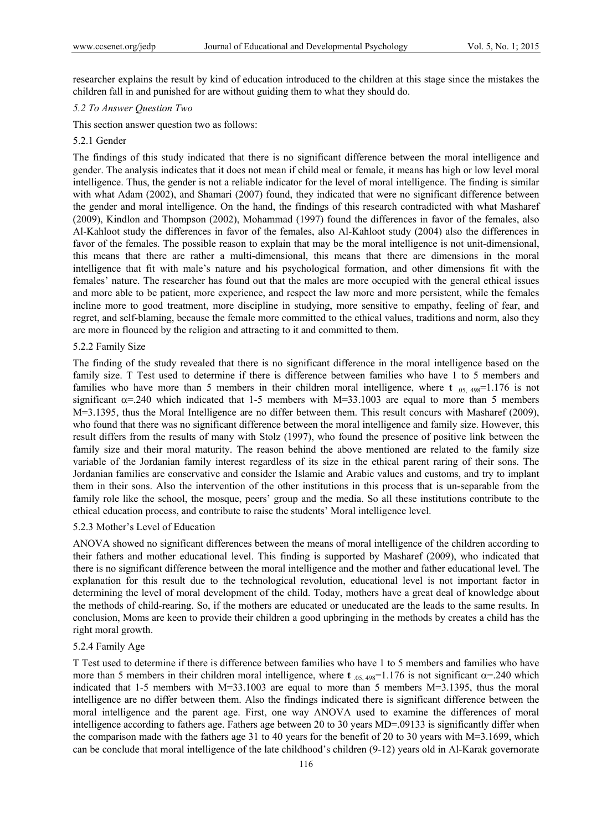researcher explains the result by kind of education introduced to the children at this stage since the mistakes the children fall in and punished for are without guiding them to what they should do.

#### *5.2 To Answer Question Two*

This section answer question two as follows:

#### 5.2.1 Gender

The findings of this study indicated that there is no significant difference between the moral intelligence and gender. The analysis indicates that it does not mean if child meal or female, it means has high or low level moral intelligence. Thus, the gender is not a reliable indicator for the level of moral intelligence. The finding is similar with what Adam (2002), and Shamari (2007) found, they indicated that were no significant difference between the gender and moral intelligence. On the hand, the findings of this research contradicted with what Masharef (2009), Kindlon and Thompson (2002), Mohammad (1997) found the differences in favor of the females, also Al-Kahloot study the differences in favor of the females, also Al-Kahloot study (2004) also the differences in favor of the females. The possible reason to explain that may be the moral intelligence is not unit-dimensional, this means that there are rather a multi-dimensional, this means that there are dimensions in the moral intelligence that fit with male's nature and his psychological formation, and other dimensions fit with the females' nature. The researcher has found out that the males are more occupied with the general ethical issues and more able to be patient, more experience, and respect the law more and more persistent, while the females incline more to good treatment, more discipline in studying, more sensitive to empathy, feeling of fear, and regret, and self-blaming, because the female more committed to the ethical values, traditions and norm, also they are more in flounced by the religion and attracting to it and committed to them.

#### 5.2.2 Family Size

The finding of the study revealed that there is no significant difference in the moral intelligence based on the family size. T Test used to determine if there is difference between families who have 1 to 5 members and families who have more than 5 members in their children moral intelligence, where **t**  $_{.05, 498}$ =1.176 is not significant  $\alpha$ =.240 which indicated that 1-5 members with M=33.1003 are equal to more than 5 members M=3.1395, thus the Moral Intelligence are no differ between them. This result concurs with Masharef (2009), who found that there was no significant difference between the moral intelligence and family size. However, this result differs from the results of many with Stolz (1997), who found the presence of positive link between the family size and their moral maturity. The reason behind the above mentioned are related to the family size variable of the Jordanian family interest regardless of its size in the ethical parent raring of their sons. The Jordanian families are conservative and consider the Islamic and Arabic values and customs, and try to implant them in their sons. Also the intervention of the other institutions in this process that is un-separable from the family role like the school, the mosque, peers' group and the media. So all these institutions contribute to the ethical education process, and contribute to raise the students' Moral intelligence level.

#### 5.2.3 Mother's Level of Education

ANOVA showed no significant differences between the means of moral intelligence of the children according to their fathers and mother educational level. This finding is supported by Masharef (2009), who indicated that there is no significant difference between the moral intelligence and the mother and father educational level. The explanation for this result due to the technological revolution, educational level is not important factor in determining the level of moral development of the child. Today, mothers have a great deal of knowledge about the methods of child-rearing. So, if the mothers are educated or uneducated are the leads to the same results. In conclusion, Moms are keen to provide their children a good upbringing in the methods by creates a child has the right moral growth.

#### 5.2.4 Family Age

T Test used to determine if there is difference between families who have 1 to 5 members and families who have more than 5 members in their children moral intelligence, where **t**  $_{0.5, 498}$ =1.176 is not significant  $\alpha$ =.240 which indicated that 1-5 members with M=33.1003 are equal to more than 5 members M=3.1395, thus the moral intelligence are no differ between them. Also the findings indicated there is significant difference between the moral intelligence and the parent age. First, one way ANOVA used to examine the differences of moral intelligence according to fathers age. Fathers age between 20 to 30 years MD=.09133 is significantly differ when the comparison made with the fathers age 31 to 40 years for the benefit of 20 to 30 years with M=3.1699, which can be conclude that moral intelligence of the late childhood's children (9-12) years old in Al-Karak governorate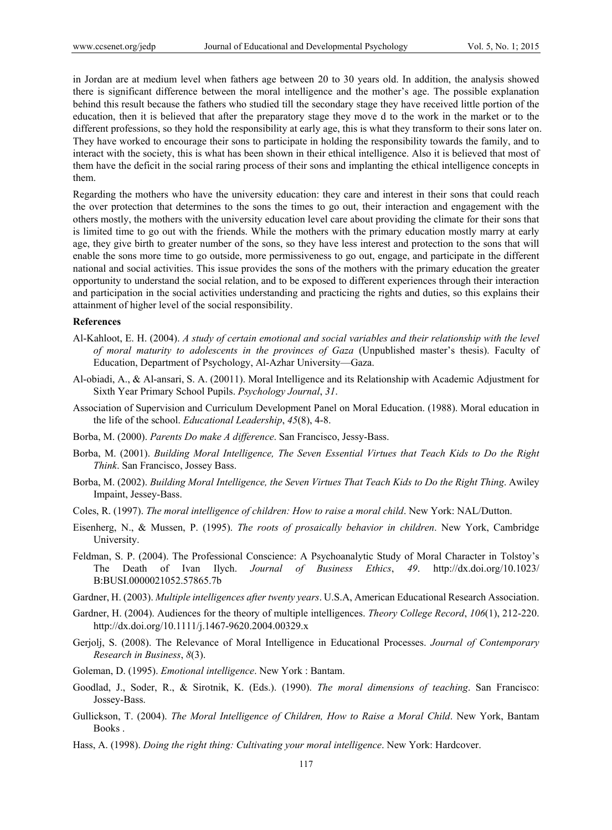in Jordan are at medium level when fathers age between 20 to 30 years old. In addition, the analysis showed there is significant difference between the moral intelligence and the mother's age. The possible explanation behind this result because the fathers who studied till the secondary stage they have received little portion of the education, then it is believed that after the preparatory stage they move d to the work in the market or to the different professions, so they hold the responsibility at early age, this is what they transform to their sons later on. They have worked to encourage their sons to participate in holding the responsibility towards the family, and to interact with the society, this is what has been shown in their ethical intelligence. Also it is believed that most of them have the deficit in the social raring process of their sons and implanting the ethical intelligence concepts in them.

Regarding the mothers who have the university education: they care and interest in their sons that could reach the over protection that determines to the sons the times to go out, their interaction and engagement with the others mostly, the mothers with the university education level care about providing the climate for their sons that is limited time to go out with the friends. While the mothers with the primary education mostly marry at early age, they give birth to greater number of the sons, so they have less interest and protection to the sons that will enable the sons more time to go outside, more permissiveness to go out, engage, and participate in the different national and social activities. This issue provides the sons of the mothers with the primary education the greater opportunity to understand the social relation, and to be exposed to different experiences through their interaction and participation in the social activities understanding and practicing the rights and duties, so this explains their attainment of higher level of the social responsibility.

## **References**

- Al-Kahloot, E. H. (2004). *A study of certain emotional and social variables and their relationship with the level of moral maturity to adolescents in the provinces of Gaza* (Unpublished master's thesis). Faculty of Education, Department of Psychology, Al-Azhar University—Gaza.
- Al-obiadi, A., & Al-ansari, S. A. (20011). Moral Intelligence and its Relationship with Academic Adjustment for Sixth Year Primary School Pupils. *Psychology Journal*, *31*.
- Association of Supervision and Curriculum Development Panel on Moral Education. (1988). Moral education in the life of the school. *Educational Leadership*, *45*(8), 4-8.
- Borba, M. (2000). *Parents Do make A difference*. San Francisco, Jessy-Bass.
- Borba, M. (2001). *Building Moral Intelligence, The Seven Essential Virtues that Teach Kids to Do the Right Think*. San Francisco, Jossey Bass.
- Borba, M. (2002). *Building Moral Intelligence, the Seven Virtues That Teach Kids to Do the Right Thing*. Awiley Impaint, Jessey-Bass.
- Coles, R. (1997). *The moral intelligence of children: How to raise a moral child*. New York: NAL/Dutton.
- Eisenherg, N., & Mussen, P. (1995). *The roots of prosaically behavior in children*. New York, Cambridge University.
- Feldman, S. P. (2004). The Professional Conscience: A Psychoanalytic Study of Moral Character in Tolstoy's The Death of Ivan Ilych. *Journal of Business Ethics*, *49*. http://dx.doi.org/10.1023/ B:BUSI.0000021052.57865.7b
- Gardner, H. (2003). *Multiple intelligences after twenty years*. U.S.A, American Educational Research Association.
- Gardner, H. (2004). Audiences for the theory of multiple intelligences. *Theory College Record*, *106*(1), 212-220. http://dx.doi.org/10.1111/j.1467-9620.2004.00329.x
- Gerjolj, S. (2008). The Relevance of Moral Intelligence in Educational Processes. *Journal of Contemporary Research in Business*, *8*(3).
- Goleman, D. (1995). *Emotional intelligence*. New York : Bantam.
- Goodlad, J., Soder, R., & Sirotnik, K. (Eds.). (1990). *The moral dimensions of teaching*. San Francisco: Jossey-Bass.
- Gullickson, T. (2004). *The Moral Intelligence of Children, How to Raise a Moral Child*. New York, Bantam Books .
- Hass, A. (1998). *Doing the right thing: Cultivating your moral intelligence*. New York: Hardcover.